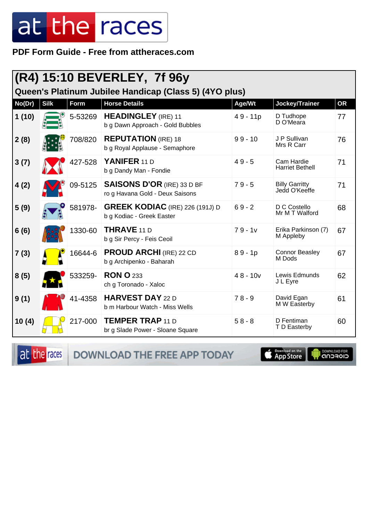PDF Form Guide - Free from attheraces.com

|                                                        |             |         | (R4) 15:10 BEVERLEY, 7f 96y                                          |            |                                        |           |  |
|--------------------------------------------------------|-------------|---------|----------------------------------------------------------------------|------------|----------------------------------------|-----------|--|
| Queen's Platinum Jubilee Handicap (Class 5) (4YO plus) |             |         |                                                                      |            |                                        |           |  |
| No(Dr)                                                 | <b>Silk</b> | Form    | <b>Horse Details</b>                                                 | Age/Wt     | <b>Jockey/Trainer</b>                  | <b>OR</b> |  |
| 1(10)                                                  |             | 5-53269 | <b>HEADINGLEY</b> (IRE) 11<br>b g Dawn Approach - Gold Bubbles       | $49 - 11p$ | D Tudhope<br>D O'Meara                 | 77        |  |
| 2(8)                                                   |             | 708/820 | <b>REPUTATION</b> (IRE) 18<br>b g Royal Applause - Semaphore         | $99 - 10$  | J P Sullivan<br>Mrs R Carr             | 76        |  |
| 3(7)                                                   |             | 427-528 | YANIFER 11 D<br>b g Dandy Man - Fondie                               | $49 - 5$   | Cam Hardie<br><b>Harriet Bethell</b>   | 71        |  |
| 4(2)                                                   |             | 09-5125 | <b>SAISONS D'OR (IRE) 33 D BF</b><br>ro g Havana Gold - Deux Saisons | $79 - 5$   | <b>Billy Garritty</b><br>Jedd O'Keeffe | 71        |  |
| 5(9)                                                   |             | 581978- | <b>GREEK KODIAC</b> (IRE) 226 (191J) D<br>b g Kodiac - Greek Easter  | $69 - 2$   | D C Costello<br>Mr M T Walford         | 68        |  |
| 6(6)                                                   |             | 1330-60 | <b>THRAVE 11 D</b><br>b g Sir Percy - Feis Ceoil                     | $79 - 1v$  | Erika Parkinson (7)<br>M Appleby       | 67        |  |
| 7(3)                                                   |             | 16644-6 | <b>PROUD ARCHI</b> (IRE) 22 CD<br>b g Archipenko - Baharah           | $89 - 1p$  | <b>Connor Beasley</b><br>M Dods        | 67        |  |
| 8(5)                                                   |             | 533259- | <b>RON O 233</b><br>ch g Toronado - Xaloc                            | $48 - 10v$ | Lewis Edmunds<br>J L Eyre              | 62        |  |
| 9(1)                                                   |             | 41-4358 | <b>HARVEST DAY 22 D</b><br>b m Harbour Watch - Miss Wells            | $78 - 9$   | David Egan<br>M W Easterby             | 61        |  |
| 10(4)                                                  |             | 217-000 | <b>TEMPER TRAP 11 D</b><br>br g Slade Power - Sloane Square          | $58 - 8$   | D Fentiman<br>T D Easterby             | 60        |  |

at the races DOWNLOAD THE FREE APP TODAY

App Store

**DOWNLOAD FOR**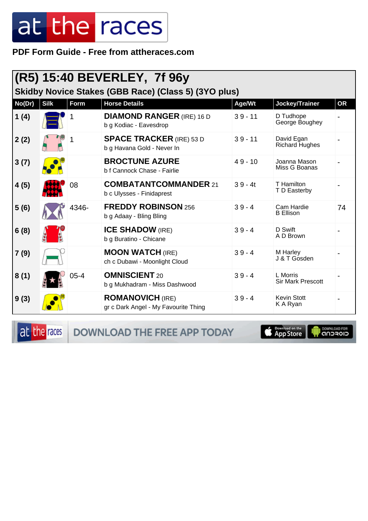**PDF Form Guide - Free from attheraces.com**

| (R5) 15:40 BEVERLEY, 7f 96y<br>Skidby Novice Stakes (GBB Race) (Class 5) (3YO plus) |             |             |                                                                 |           |                                      |           |  |
|-------------------------------------------------------------------------------------|-------------|-------------|-----------------------------------------------------------------|-----------|--------------------------------------|-----------|--|
| No(Dr)                                                                              | <b>Silk</b> | <b>Form</b> | <b>Horse Details</b>                                            | Age/Wt    | Jockey/Trainer                       | <b>OR</b> |  |
| 1(4)                                                                                |             |             | <b>DIAMOND RANGER (IRE) 16 D</b><br>b g Kodiac - Eavesdrop      | $39 - 11$ | D Tudhope<br>George Boughey          |           |  |
| 2(2)                                                                                |             | 1           | <b>SPACE TRACKER (IRE) 53 D</b><br>b g Havana Gold - Never In   | $39 - 11$ | David Egan<br><b>Richard Hughes</b>  |           |  |
| 3(7)                                                                                |             |             | <b>BROCTUNE AZURE</b><br>b f Cannock Chase - Fairlie            | $49 - 10$ | Joanna Mason<br>Miss G Boanas        |           |  |
| 4(5)                                                                                |             | 08          | <b>COMBATANTCOMMANDER 21</b><br>b c Ulysses - Finidaprest       | $39 - 4t$ | T Hamilton<br>T D Easterby           |           |  |
| 5(6)                                                                                |             | 4346-       | <b>FREDDY ROBINSON 256</b><br>b g Adaay - Bling Bling           | $39 - 4$  | Cam Hardie<br><b>B</b> Ellison       | 74        |  |
| 6(8)                                                                                |             |             | <b>ICE SHADOW (IRE)</b><br>b g Buratino - Chicane               | $39 - 4$  | D Swift<br>A D Brown                 |           |  |
| 7(9)                                                                                |             |             | <b>MOON WATCH (IRE)</b><br>ch c Dubawi - Moonlight Cloud        | $39 - 4$  | M Harley<br>J & T Gosden             |           |  |
| 8(1)                                                                                |             | $05 - 4$    | <b>OMNISCIENT 20</b><br>b g Mukhadram - Miss Dashwood           | $39 - 4$  | L Morris<br><b>Sir Mark Prescott</b> |           |  |
| 9(3)                                                                                |             |             | <b>ROMANOVICH (IRE)</b><br>gr c Dark Angel - My Favourite Thing | $39 - 4$  | <b>Kevin Stott</b><br>K A Ryan       |           |  |

at the races

DOWNLOAD THE FREE APP TODAY

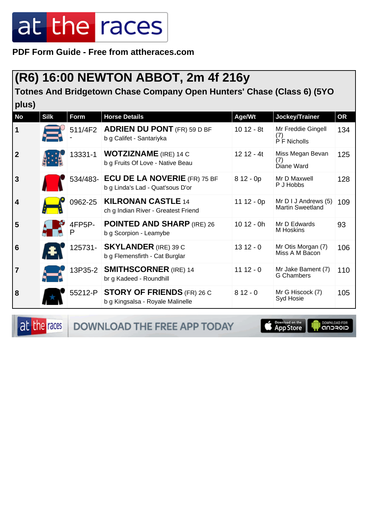**PDF Form Guide - Free from attheraces.com**

#### **(R6) 16:00 NEWTON ABBOT, 2m 4f 216y**

**Totnes And Bridgetown Chase Company Open Hunters' Chase (Class 6) (5YO**  $|$ nlus)

| piuvj            |             |             |                                                                           |              |                                                 |     |
|------------------|-------------|-------------|---------------------------------------------------------------------------|--------------|-------------------------------------------------|-----|
| No               | <b>Silk</b> | Form        | <b>Horse Details</b>                                                      | Age/Wt       | Jockey/Trainer                                  | OR  |
| 1                |             | 511/4F2     | <b>ADRIEN DU PONT</b> (FR) 59 D BF<br>b g Califet - Santariyka            | $1012 - 8t$  | Mr Freddie Gingell<br>(7)<br>P F Nicholls       | 134 |
| $\boldsymbol{2}$ |             | 13331-1     | <b>WOTZIZNAME</b> (IRE) 14 C<br>b g Fruits Of Love - Native Beau          | $1212 - 4t$  | Miss Megan Bevan<br>(7)<br>Diane Ward           | 125 |
| 3                |             |             | 534/483- ECU DE LA NOVERIE (FR) 75 BF<br>b g Linda's Lad - Quat'sous D'or | $812 - 0p$   | Mr D Maxwell<br>P J Hobbs                       | 128 |
| 4                |             | 0962-25     | <b>KILRONAN CASTLE 14</b><br>ch g Indian River - Greatest Friend          | $11 12 - 0p$ | Mr D I J Andrews (5)<br><b>Martin Sweetland</b> | 109 |
| 5                |             | 4FP5P-<br>Р | <b>POINTED AND SHARP (IRE) 26</b><br>b g Scorpion - Leamybe               | $1012 - 0h$  | Mr D Edwards<br>M Hoskins                       | 93  |
| 6                |             | 125731-     | <b>SKYLANDER</b> (IRE) 39 C<br>b g Flemensfirth - Cat Burglar             | $1312 - 0$   | Mr Otis Morgan (7)<br>Miss A M Bacon            | 106 |
| 7                |             | 13P35-2     | <b>SMITHSCORNER (IRE) 14</b><br>br g Kadeed - Roundhill                   | $1112 - 0$   | Mr Jake Bament (7)<br><b>G</b> Chambers         | 110 |
| 8                |             | 55212-P     | <b>STORY OF FRIENDS</b> (FR) 26 C<br>b g Kingsalsa - Royale Malinelle     | $812 - 0$    | Mr G Hiscock (7)<br>Syd Hosie                   | 105 |

at the races

DOWNLOAD THE FREE APP TODAY

**App Store** 

**I DOWNLOAD FOR**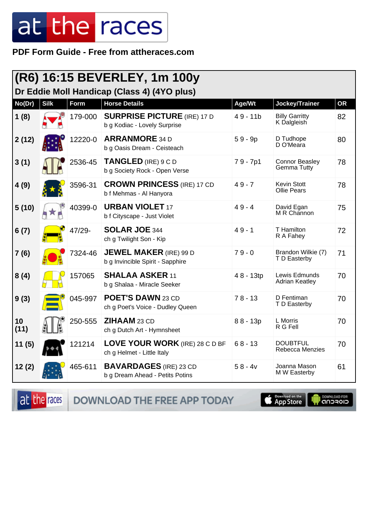PDF Form Guide - Free from attheraces.com

|            |             |         | (R6) 16:15 BEVERLEY, 1m 100y                                       |            |                                        |           |
|------------|-------------|---------|--------------------------------------------------------------------|------------|----------------------------------------|-----------|
|            |             |         | Dr Eddie Moll Handicap (Class 4) (4YO plus)                        |            |                                        |           |
| No(Dr)     | <b>Silk</b> | Form    | <b>Horse Details</b>                                               | Age/Wt     | Jockey/Trainer                         | <b>OR</b> |
| 1(8)       |             | 179-000 | <b>SURPRISE PICTURE (IRE) 17 D</b><br>b g Kodiac - Lovely Surprise | $49 - 11b$ | <b>Billy Garritty</b><br>K Dalgleish   | 82        |
| 2(12)      |             | 12220-0 | <b>ARRANMORE 34 D</b><br>b g Oasis Dream - Ceisteach               | $59 - 9p$  | D Tudhope<br>D O'Meara                 | 80        |
| 3(1)       |             | 2536-45 | <b>TANGLED</b> (IRE) 9 C D<br>b g Society Rock - Open Verse        | $79 - 7p1$ | <b>Connor Beasley</b><br>Gemma Tutty   | 78        |
| 4(9)       |             | 3596-31 | <b>CROWN PRINCESS (IRE) 17 CD</b><br>b f Mehmas - Al Hanyora       | $49 - 7$   | Kevin Stott<br><b>Ollie Pears</b>      | 78        |
| 5(10)      |             | 40399-0 | <b>URBAN VIOLET 17</b><br>b f Cityscape - Just Violet              | $49 - 4$   | David Egan<br>M R Channon              | 75        |
| 6(7)       |             | 47/29-  | <b>SOLAR JOE 344</b><br>ch g Twilight Son - Kip                    | $49 - 1$   | T Hamilton<br>R A Fahey                | 72        |
| 7(6)       |             | 7324-46 | <b>JEWEL MAKER (IRE) 99 D</b><br>b g Invincible Spirit - Sapphire  | $79 - 0$   | Brandon Wilkie (7)<br>T D Easterby     | 71        |
| 8(4)       |             | 157065  | <b>SHALAA ASKER 11</b><br>b g Shalaa - Miracle Seeker              | 48 - 13tp  | Lewis Edmunds<br><b>Adrian Keatley</b> | 70        |
| 9(3)       |             | 045-997 | <b>POET'S DAWN 23 CD</b><br>ch g Poet's Voice - Dudley Queen       | $78 - 13$  | D Fentiman<br>T D Easterby             | 70        |
| 10<br>(11) |             | 250-555 | <b>ZIHAAM 23 CD</b><br>ch g Dutch Art - Hymnsheet                  | $88 - 13p$ | L Morris<br>R G Fell                   | 70        |
| 11(5)      |             | 121214  | LOVE YOUR WORK (IRE) 28 C D BF<br>ch g Helmet - Little Italy       | $68 - 13$  | <b>DOUBTFUL</b><br>Rebecca Menzies     | 70        |
| 12(2)      |             | 465-611 | <b>BAVARDAGES</b> (IRE) 23 CD<br>b g Dream Ahead - Petits Potins   | $58 - 4v$  | Joanna Mason<br>M W Easterby           | 61        |

DOWNLOAD THE FREE APP TODAY at the races

App Store

**IN DOWNLOAD FOR**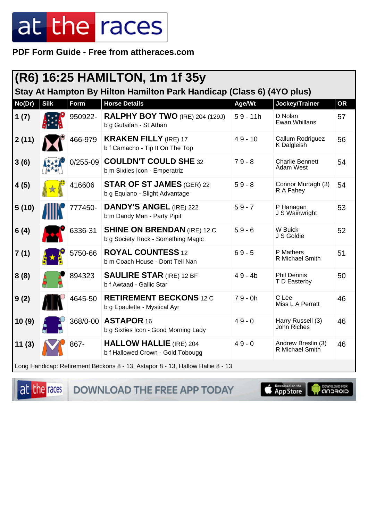PDF Form Guide - Free from attheraces.com

|        |             |              | (R6) 16:25 HAMILTON, 1m 1f 35y                                                 |            |                                       |           |
|--------|-------------|--------------|--------------------------------------------------------------------------------|------------|---------------------------------------|-----------|
|        |             |              | Stay At Hampton By Hilton Hamilton Park Handicap (Class 6) (4YO plus)          |            |                                       |           |
| No(Dr) | <b>Silk</b> | Form         | <b>Horse Details</b>                                                           | Age/Wt     | Jockey/Trainer                        | <b>OR</b> |
| 1(7)   |             | 950922-      | <b>RALPHY BOY TWO</b> (IRE) 204 (129J)<br>b g Gutaifan - St Athan              | $59 - 11h$ | D Nolan<br><b>Ewan Whillans</b>       | 57        |
| 2(11)  |             | 466-979      | <b>KRAKEN FILLY (IRE) 17</b><br>b f Camacho - Tip It On The Top                | $49 - 10$  | Callum Rodriguez<br>K Dalgleish       | 56        |
| 3(6)   |             | $0/255 - 09$ | <b>COULDN'T COULD SHE 32</b><br>b m Sixties Icon - Emperatriz                  | $79 - 8$   | <b>Charlie Bennett</b><br>Adam West   | 54        |
| 4(5)   |             | 416606       | <b>STAR OF ST JAMES (GER) 22</b><br>b g Equiano - Slight Advantage             | $59 - 8$   | Connor Murtagh (3)<br>R A Fahey       | 54        |
| 5(10)  |             | 777450-      | <b>DANDY'S ANGEL (IRE) 222</b><br>b m Dandy Man - Party Pipit                  | $59 - 7$   | P Hanagan<br>J S Wainwright           | 53        |
| 6(4)   |             | 6336-31      | <b>SHINE ON BRENDAN (IRE) 12 C</b><br>b g Society Rock - Something Magic       | $59 - 6$   | W Buick<br>J S Goldie                 | 52        |
| 7(1)   |             | 5750-66      | <b>ROYAL COUNTESS 12</b><br>b m Coach House - Dont Tell Nan                    | $69 - 5$   | P Mathers<br>R Michael Smith          | 51        |
| 8(8)   |             | 894323       | <b>SAULIRE STAR (IRE) 12 BF</b><br>b f Awtaad - Gallic Star                    | $49 - 4b$  | <b>Phil Dennis</b><br>T D Easterby    | 50        |
| 9(2)   |             | 4645-50      | <b>RETIREMENT BECKONS 12 C</b><br>b g Epaulette - Mystical Ayr                 | $79 - 0h$  | C Lee<br>Miss L A Perratt             | 46        |
| 10(9)  |             | 368/0-00     | ASTAPOR 16<br>b g Sixties Icon - Good Morning Lady                             | $49 - 0$   | Harry Russell (3)<br>John Riches      | 46        |
| 11(3)  |             | 867-         | <b>HALLOW HALLIE</b> (IRE) 204<br>b f Hallowed Crown - Gold Tobougg            | $49 - 0$   | Andrew Breslin (3)<br>R Michael Smith | 46        |
|        |             |              | Long Handicap: Retirement Beckons 8 - 13, Astapor 8 - 13, Hallow Hallie 8 - 13 |            |                                       |           |

at the races

DOWNLOAD THE FREE APP TODAY



**OONNUGAD FOR**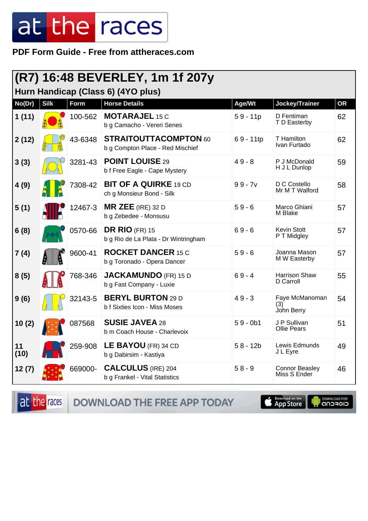**PDF Form Guide - Free from attheraces.com**

| (R7) 16:48 BEVERLEY, 1m 1f 207y<br>Hurn Handicap (Class 6) (4YO plus) |             |         |                                                                  |            |                                       |           |
|-----------------------------------------------------------------------|-------------|---------|------------------------------------------------------------------|------------|---------------------------------------|-----------|
| No(Dr)                                                                | <b>Silk</b> | Form    | <b>Horse Details</b>                                             | Age/Wt     | Jockey/Trainer                        | <b>OR</b> |
| 1(11)                                                                 |             | 100-562 | <b>MOTARAJEL 15 C</b><br>b g Camacho - Vereri Senes              | $59 - 11p$ | D Fentiman<br>T D Easterby            | 62        |
| 2(12)                                                                 |             | 43-6348 | <b>STRAITOUTTACOMPTON 60</b><br>b g Compton Place - Red Mischief | 69 - 11tp  | T Hamilton<br>Ivan Furtado            | 62        |
| 3(3)                                                                  |             | 3281-43 | <b>POINT LOUISE 29</b><br>b f Free Eagle - Cape Mystery          | $49 - 8$   | P J McDonald<br>H J L Dunlop          | 59        |
| 4(9)                                                                  |             | 7308-42 | <b>BIT OF A QUIRKE 19 CD</b><br>ch g Monsieur Bond - Silk        | $99 - 7v$  | D C Costello<br>Mr M T Walford        | 58        |
| 5(1)                                                                  |             | 12467-3 | $MR$ ZEE (IRE) 32 D<br>b g Zebedee - Monsusu                     | $59 - 6$   | Marco Ghiani<br>M Blake               | 57        |
| 6(8)                                                                  |             | 0570-66 | <b>DR RIO (FR) 15</b><br>b g Rio de La Plata - Dr Wintringham    | $69 - 6$   | Kevin Stott<br>P T Midgley            | 57        |
| 7(4)                                                                  |             | 9600-41 | <b>ROCKET DANCER 15 C</b><br>b g Toronado - Opera Dancer         | $59 - 6$   | Joanna Mason<br>M W Easterby          | 57        |
| 8(5)                                                                  |             | 768-346 | <b>JACKAMUNDO</b> (FR) 15 D<br>b g Fast Company - Luxie          | $69 - 4$   | Harrison Shaw<br>D Carroll            | 55        |
| 9(6)                                                                  |             | 32143-5 | <b>BERYL BURTON 29 D</b><br>b f Sixties Icon - Miss Moses        | $49 - 3$   | Faye McManoman<br>(3)<br>John Berry   | 54        |
| 10(2)                                                                 |             | 087568  | <b>SUSIE JAVEA 28</b><br>b m Coach House - Charlevoix            | $59 - 0b1$ | J P Sullivan<br><b>Ollie Pears</b>    | 51        |
| 11<br>(10)                                                            |             | 259-908 | LE BAYOU (FR) 34 CD<br>b g Dabirsim - Kastiya                    | $58 - 12b$ | Lewis Edmunds<br>J L Eyre             | 49        |
| 12(7)                                                                 |             | 669000- | <b>CALCULUS</b> (IRE) 204<br>b g Frankel - Vital Statistics      | $58 - 9$   | <b>Connor Beasley</b><br>Miss S Ender | 46        |

at the races DOWNLOAD THE FREE APP TODAY

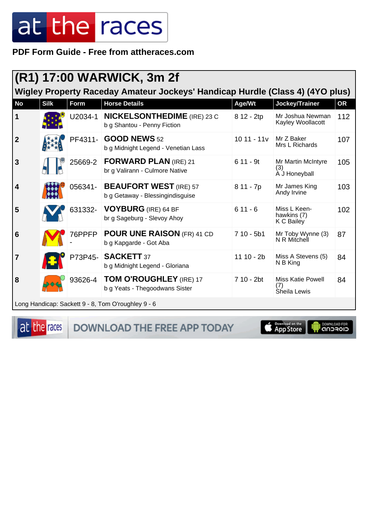PDF Form Guide - Free from attheraces.com

|                  | (R1) 17:00 WARWICK, 3m 2f<br>Wigley Property Raceday Amateur Jockeys' Handicap Hurdle (Class 4) (4YO plus) |         |                                                                   |              |                                                 |           |  |
|------------------|------------------------------------------------------------------------------------------------------------|---------|-------------------------------------------------------------------|--------------|-------------------------------------------------|-----------|--|
|                  |                                                                                                            |         |                                                                   |              |                                                 |           |  |
| <b>No</b>        | <b>Silk</b>                                                                                                | Form    | <b>Horse Details</b>                                              | Age/Wt       | Jockey/Trainer                                  | <b>OR</b> |  |
| 1                |                                                                                                            | U2034-1 | <b>NICKELSONTHEDIME</b> (IRE) 23 C<br>b g Shantou - Penny Fiction | 8 12 - 2tp   | Mr Joshua Newman<br>Kayley Woollacott           | 112       |  |
| $\boldsymbol{2}$ |                                                                                                            |         | PF4311- GOOD NEWS 52<br>b g Midnight Legend - Venetian Lass       | $1011 - 11v$ | Mr Z Baker<br>Mrs L Richards                    | 107       |  |
| 3                |                                                                                                            | 25669-2 | <b>FORWARD PLAN (IRE) 21</b><br>br g Valirann - Culmore Native    | $611 - 9t$   | Mr Martin McIntyre<br>(3)<br>A J Honeyball      | 105       |  |
| 4                |                                                                                                            | 056341- | <b>BEAUFORT WEST (IRE) 57</b><br>b g Getaway - Blessingindisguise | 8 11 - 7p    | Mr James King<br>Andy Irvine                    | 103       |  |
| 5                |                                                                                                            | 631332- | <b>VOYBURG</b> (IRE) 64 BF<br>br g Sageburg - Slevoy Ahoy         | $611 - 6$    | Miss L Keen-<br>hawkins (7)<br>K C Bailey       | 102       |  |
| 6                |                                                                                                            | 76PPFP  | <b>POUR UNE RAISON (FR) 41 CD</b><br>b g Kapgarde - Got Aba       | $710 - 5b1$  | Mr Toby Wynne (3)<br>N R Mitchell               | 87        |  |
| $\overline{7}$   |                                                                                                            | P73P45- | <b>SACKETT 37</b><br>b g Midnight Legend - Gloriana               | $11 10 - 2b$ | Miss A Stevens (5)<br>N B King                  | 84        |  |
| 8                |                                                                                                            | 93626-4 | <b>TOM O'ROUGHLEY</b> (IRE) 17<br>b g Yeats - Thegoodwans Sister  | 7 10 - 2bt   | <b>Miss Katie Powell</b><br>(7)<br>Sheila Lewis | 84        |  |
|                  |                                                                                                            |         | Long Handicap: Sackett 9 - 8. Tom O'roughley 9 - 6                |              |                                                 |           |  |

at the races

DOWNLOAD THE FREE APP TODAY

App Store

**Il DOWNLOAD FOR**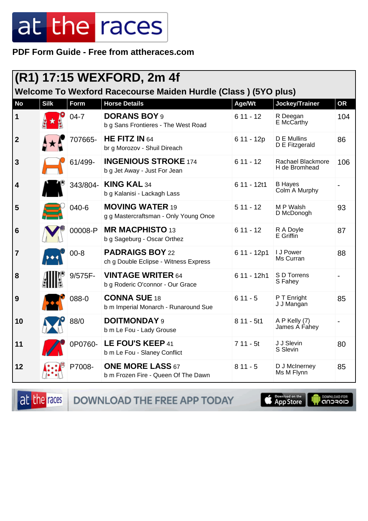PDF Form Guide - Free from attheraces.com

|                  |             |          | (R1) 17:15 WEXFORD, 2m 4f                                       |              |                                    |           |
|------------------|-------------|----------|-----------------------------------------------------------------|--------------|------------------------------------|-----------|
|                  |             |          | Welcome To Wexford Racecourse Maiden Hurdle (Class) (5YO plus)  |              |                                    |           |
| <b>No</b>        | <b>Silk</b> | Form     | <b>Horse Details</b>                                            | Age/Wt       | Jockey/Trainer                     | <b>OR</b> |
| 1                |             | $04 - 7$ | <b>DORANS BOY 9</b><br>b g Sans Frontieres - The West Road      | $611 - 12$   | R Deegan<br>E McCarthy             | 104       |
| $\boldsymbol{2}$ |             | 707665-  | HE FITZ IN $64$<br>br g Morozov - Shuil Direach                 | $611 - 12p$  | D E Mullins<br>D E Fitzgerald      | 86        |
| 3                |             | 61/499-  | <b>INGENIOUS STROKE 174</b><br>b g Jet Away - Just For Jean     | $611 - 12$   | Rachael Blackmore<br>H de Bromhead | 106       |
| 4                |             | 343/804- | <b>KING KAL 34</b><br>b g Kalanisi - Lackagh Lass               | 6 11 - 12t1  | <b>B</b> Hayes<br>Colm A Murphy    |           |
| 5                |             | 040-6    | <b>MOVING WATER 19</b><br>g g Mastercraftsman - Only Young Once | $511 - 12$   | M P Walsh<br>D McDonogh            | 93        |
| 6                |             | 00008-P  | <b>MR MACPHISTO 13</b><br>b g Sageburg - Oscar Orthez           | $611 - 12$   | R A Doyle<br>E Griffin             | 87        |
| 7                |             | $00 - 8$ | <b>PADRAIGS BOY 22</b><br>ch g Double Eclipse - Witness Express | 6 11 - 12p1  | I J Power<br>Ms Curran             | 88        |
| 8                |             | 9/575F-  | <b>VINTAGE WRITER 64</b><br>b g Roderic O'connor - Our Grace    | $611 - 12h1$ | S D Torrens<br>S Fahey             |           |
| 9                |             | 088-0    | <b>CONNA SUE 18</b><br>b m Imperial Monarch - Runaround Sue     | $611 - 5$    | P T Enright<br>J J Mangan          | 85        |
| 10               |             | 88/0     | <b>DOITMONDAY 9</b><br>b m Le Fou - Lady Grouse                 | $811 - 5t1$  | A P Kelly (7)<br>James A Fahey     |           |
| 11               |             | 0P0760-  | LE FOU'S KEEP 41<br>b m Le Fou - Slaney Conflict                | $711 - 5t$   | J J Slevin<br>S Slevin             | 80        |
| 12               |             | P7008-   | <b>ONE MORE LASS 67</b><br>b m Frozen Fire - Queen Of The Dawn  | $811 - 5$    | D J McInerney<br>Ms M Flynn        | 85        |

DOWNLOAD THE FREE APP TODAY at the races

App Store

**IN DOWNLOAD FOR**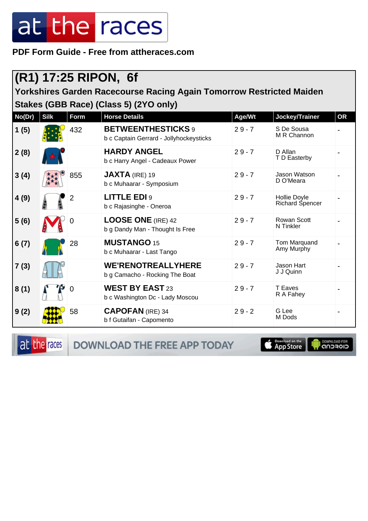**PDF Form Guide - Free from attheraces.com**

#### **(R1) 17:25 RIPON, 6f**

**Yorkshires Garden Racecourse Racing Again Tomorrow Restricted Maiden Stakes (GBB Race) (Class 5) (2YO only)**

| No(Dr) | <b>Silk</b> | Form           | <b>Horse Details</b>                                                 | Age/Wt   | Jockey/Trainer                         | <b>OR</b> |
|--------|-------------|----------------|----------------------------------------------------------------------|----------|----------------------------------------|-----------|
| 1(5)   |             | 432            | <b>BETWEENTHESTICKS</b> 9<br>b c Captain Gerrard - Jollyhockeysticks | $29 - 7$ | S De Sousa<br>M R Channon              |           |
| 2(8)   |             |                | <b>HARDY ANGEL</b><br>b c Harry Angel - Cadeaux Power                | $29 - 7$ | D Allan<br>T D Easterby                |           |
| 3(4)   |             | 855            | $JAXTA$ (IRE) 19<br>b c Muhaarar - Symposium                         | $29 - 7$ | Jason Watson<br>D O'Meara              |           |
| 4(9)   |             | $\overline{2}$ | <b>LITTLE EDI 9</b><br>b c Rajasinghe - Oneroa                       | $29 - 7$ | <b>Hollie Doyle</b><br>Richard Spencer |           |
| 5(6)   |             | $\Omega$       | <b>LOOSE ONE (IRE) 42</b><br>b g Dandy Man - Thought Is Free         | $29 - 7$ | <b>Rowan Scott</b><br>N Tinkler        |           |
| 6(7)   |             | 28             | <b>MUSTANGO 15</b><br>b c Muhaarar - Last Tango                      | $29 - 7$ | Tom Marquand<br>Amy Murphy             |           |
| 7(3)   |             |                | <b>WE'RENOTREALLYHERE</b><br>b g Camacho - Rocking The Boat          | $29 - 7$ | Jason Hart<br>J J Quinn                |           |
| 8(1)   |             | $\mathbf 0$    | <b>WEST BY EAST 23</b><br>b c Washington Dc - Lady Moscou            | $29 - 7$ | T Eaves<br>R A Fahey                   |           |
| 9(2)   |             | 58             | <b>CAPOFAN (IRE) 34</b><br>b f Gutaifan - Capomento                  | $29 - 2$ | G Lee<br>M Dods                        |           |

at the races

DOWNLOAD THE FREE APP TODAY

App Store

**I DOWNLOAD FOR**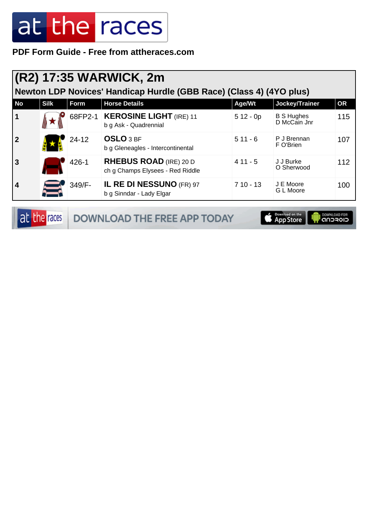**PDF Form Guide - Free from attheraces.com**

|                | (R2) 17:35 WARWICK, 2m |           |                                                                     |            |                                   |           |  |  |  |
|----------------|------------------------|-----------|---------------------------------------------------------------------|------------|-----------------------------------|-----------|--|--|--|
|                |                        |           | Newton LDP Novices' Handicap Hurdle (GBB Race) (Class 4) (4YO plus) |            |                                   |           |  |  |  |
| <b>No</b>      | <b>Silk</b>            | Form      | <b>Horse Details</b>                                                | Age/Wt     | Jockey/Trainer                    | <b>OR</b> |  |  |  |
| 1              |                        | 68FP2-1   | KEROSINE LIGHT (IRE) 11<br>b g Ask - Quadrennial                    | $512 - 0p$ | <b>B S Hughes</b><br>D McCain Jnr | 115       |  |  |  |
| 2              |                        | $24 - 12$ | <b>OSLO</b> 3 BF<br>b g Gleneagles - Intercontinental               | $511 - 6$  | P J Brennan<br>F O'Brien          | 107       |  |  |  |
| $\overline{3}$ |                        | 426-1     | <b>RHEBUS ROAD</b> (IRE) 20 D<br>ch g Champs Elysees - Red Riddle   | $411 - 5$  | J J Burke<br>O Sherwood           | 112       |  |  |  |
| $\overline{4}$ |                        | 349/F-    | IL RE DI NESSUNO (FR) 97<br>b g Sinndar - Lady Elgar                | $710 - 13$ | J E Moore<br>G L Moore            | 100       |  |  |  |

|  | <b>at the races DOWNLOAD THE FREE APP TODAY</b> | App Store   CONVILGAD FOR |  |
|--|-------------------------------------------------|---------------------------|--|
|--|-------------------------------------------------|---------------------------|--|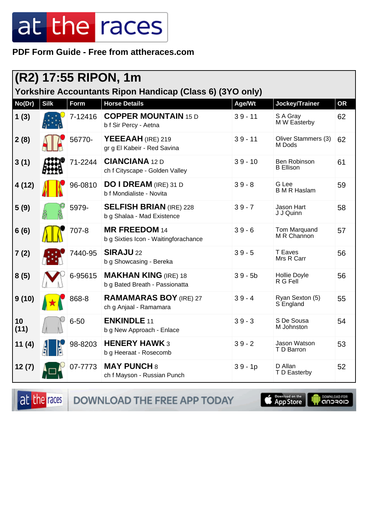PDF Form Guide - Free from attheraces.com

| (R2) 17:55 RIPON, 1m<br>Yorkshire Accountants Ripon Handicap (Class 6) (3YO only) |             |          |                                                               |           |                                         |           |
|-----------------------------------------------------------------------------------|-------------|----------|---------------------------------------------------------------|-----------|-----------------------------------------|-----------|
| No(Dr)                                                                            | <b>Silk</b> | Form     | <b>Horse Details</b>                                          | Age/Wt    | Jockey/Trainer                          | <b>OR</b> |
| 1(3)                                                                              |             | 7-12416  | <b>COPPER MOUNTAIN 15 D</b><br>b f Sir Percy - Aetna          | $39 - 11$ | S A Gray<br>M W Easterby                | 62        |
| 2(8)                                                                              |             | 56770-   | YEEEAAH (IRE) 219<br>gr g El Kabeir - Red Savina              | $39 - 11$ | Oliver Stammers (3)<br>M Dods           | 62        |
| 3(1)                                                                              |             | 71-2244  | <b>CIANCIANA 12 D</b><br>ch f Cityscape - Golden Valley       | $39 - 10$ | <b>Ben Robinson</b><br><b>B</b> Ellison | 61        |
| 4 (12)                                                                            |             | 96-0810  | <b>DO I DREAM</b> (IRE) 31 D<br>b f Mondialiste - Novita      | $39 - 8$  | G Lee<br><b>B M R Haslam</b>            | 59        |
| 5(9)                                                                              |             | 5979-    | <b>SELFISH BRIAN (IRE) 228</b><br>b g Shalaa - Mad Existence  | $39 - 7$  | Jason Hart<br>J J Quinn                 | 58        |
| 6(6)                                                                              |             | 707-8    | <b>MR FREEDOM 14</b><br>b g Sixties Icon - Waitingforachance  | $39 - 6$  | <b>Tom Marquand</b><br>M R Channon      | 57        |
| 7(2)                                                                              |             | 7440-95  | <b>SIRAJU 22</b><br>b g Showcasing - Bereka                   | $39 - 5$  | <b>T</b> Eaves<br>Mrs R Carr            | 56        |
| 8(5)                                                                              |             | 6-95615  | <b>MAKHAN KING (IRE) 18</b><br>b g Bated Breath - Passionatta | $39 - 5b$ | Hollie Doyle<br>R G Fell                | 56        |
| 9(10)                                                                             |             | 868-8    | <b>RAMAMARAS BOY (IRE) 27</b><br>ch g Anjaal - Ramamara       | $39 - 4$  | Ryan Sexton (5)<br>S England            | 55        |
| 10<br>(11)                                                                        |             | $6 - 50$ | <b>ENKINDLE 11</b><br>b g New Approach - Enlace               | $39 - 3$  | S De Sousa<br>M Johnston                | 54        |
| 11(4)                                                                             |             | 98-8203  | <b>HENERY HAWK 3</b><br>b g Heeraat - Rosecomb                | $39 - 2$  | Jason Watson<br>T D Barron              | 53        |
| 12(7)                                                                             |             | 07-7773  | <b>MAY PUNCH 8</b><br>ch f Mayson - Russian Punch             | $39 - 1p$ | D Allan<br>T D Easterby                 | 52        |

DOWNLOAD THE FREE APP TODAY at the races

App Store

**IN DOWNLOAD FOR**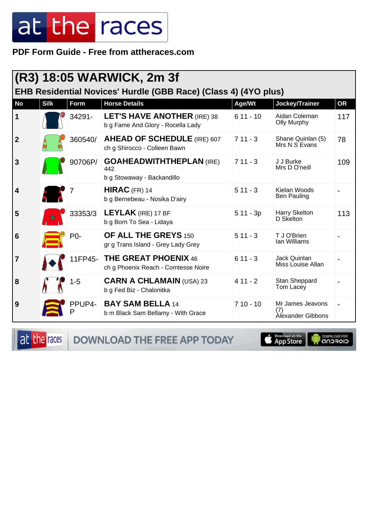PDF Form Guide - Free from attheraces.com

| (R3) 18:05 WARWICK, 2m 3f<br>EHB Residential Novices' Hurdle (GBB Race) (Class 4) (4YO plus) |             |             |                                                                         |            |                                                     |           |
|----------------------------------------------------------------------------------------------|-------------|-------------|-------------------------------------------------------------------------|------------|-----------------------------------------------------|-----------|
| <b>No</b>                                                                                    | <b>Silk</b> | <b>Form</b> | <b>Horse Details</b>                                                    | Age/Wt     | Jockey/Trainer                                      | <b>OR</b> |
| 1                                                                                            |             | 34291-      | <b>LET'S HAVE ANOTHER (IRE) 38</b><br>b g Fame And Glory - Rocella Lady | $611 - 10$ | Aidan Coleman<br><b>Olly Murphy</b>                 | 117       |
| $\mathbf{2}$                                                                                 |             | 360540/     | <b>AHEAD OF SCHEDULE (IRE) 607</b><br>ch g Shirocco - Colleen Bawn      | $711 - 3$  | Shane Quinlan (5)<br>Mrs N S Evans                  | 78        |
| 3                                                                                            |             | 90706P/     | <b>GOAHEADWITHTHEPLAN (IRE)</b><br>442<br>b g Stowaway - Backandillo    | $711 - 3$  | J J Burke<br>Mrs D O'neill                          | 109       |
| 4                                                                                            |             |             | $HIRAC$ (FR) 14<br>b g Bernebeau - Nosika D'airy                        | $511 - 3$  | Kielan Woods<br><b>Ben Pauling</b>                  |           |
| 5                                                                                            |             | 33353/3     | <b>LEYLAK</b> (IRE) 17 BF<br>b g Born To Sea - Lidaya                   | $511 - 3p$ | Harry Skelton<br>D Skelton                          | 113       |
| 6                                                                                            |             | P0-         | <b>OF ALL THE GREYS 150</b><br>gr g Trans Island - Grey Lady Grey       | $511 - 3$  | T J O'Brien<br>Ian Williams                         |           |
| 7                                                                                            |             | 11FP45-     | <b>THE GREAT PHOENIX 46</b><br>ch g Phoenix Reach - Comtesse Noire      | $611 - 3$  | Jack Quinlan<br>Miss Louise Allan                   |           |
| 8                                                                                            |             | $1 - 5$     | <b>CARN A CHLAMAIN (USA) 23</b><br>b g Fed Biz - Chalonitka             | $411 - 2$  | Stan Sheppard<br>Tom Lacey                          |           |
| 9                                                                                            |             | PPUP4-      | <b>BAY SAM BELLA 14</b><br>b m Black Sam Bellamy - With Grace           | $710 - 10$ | Mr James Jeavons<br>(7)<br><b>Alexander Gibbons</b> |           |

at the races DOWNLOAD THE FREE APP TODAY

App Store

**OWNLOAD FOR**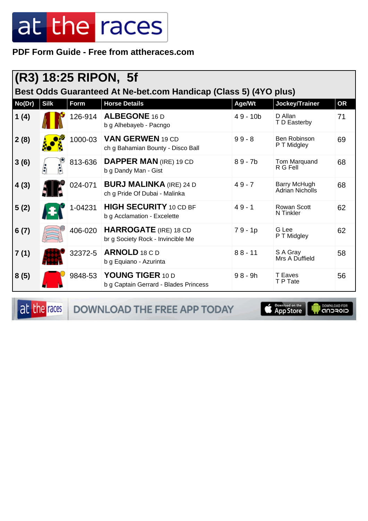PDF Form Guide - Free from attheraces.com

| $(R3)$ 18:25 RIPON, 5f<br>Best Odds Guaranteed At Ne-bet.com Handicap (Class 5) (4YO plus) |             |         |                                                                   |            |                                        |    |  |
|--------------------------------------------------------------------------------------------|-------------|---------|-------------------------------------------------------------------|------------|----------------------------------------|----|--|
| No(Dr)                                                                                     | <b>Silk</b> | Form    | <b>Horse Details</b>                                              | Age/Wt     | Jockey/Trainer                         | OR |  |
| 1(4)                                                                                       |             | 126-914 | <b>ALBEGONE 16 D</b><br>b g Alhebayeb - Pacngo                    | $49 - 10b$ | D Allan<br>T D Easterby                | 71 |  |
| 2(8)                                                                                       |             | 1000-03 | <b>VAN GERWEN 19 CD</b><br>ch g Bahamian Bounty - Disco Ball      | $99 - 8$   | Ben Robinson<br>P T Midgley            | 69 |  |
| 3(6)                                                                                       |             | 813-636 | <b>DAPPER MAN (IRE) 19 CD</b><br>b g Dandy Man - Gist             | $89 - 7b$  | Tom Marquand<br>R G Fell               | 68 |  |
| 4(3)                                                                                       |             | 024-071 | <b>BURJ MALINKA</b> (IRE) 24 D<br>ch g Pride Of Dubai - Malinka   | $49 - 7$   | Barry McHugh<br><b>Adrian Nicholls</b> | 68 |  |
| 5(2)                                                                                       |             | 1-04231 | <b>HIGH SECURITY 10 CD BF</b><br>b g Acclamation - Excelette      | $49 - 1$   | <b>Rowan Scott</b><br>N Tinkler        | 62 |  |
| 6(7)                                                                                       |             | 406-020 | <b>HARROGATE</b> (IRE) 18 CD<br>br g Society Rock - Invincible Me | $79 - 1p$  | G Lee<br>P T Midgley                   | 62 |  |
| 7(1)                                                                                       |             | 32372-5 | ARNOLD 18 C D<br>b g Equiano - Azurinta                           | $88 - 11$  | S A Gray<br>Mrs A Duffield             | 58 |  |
| 8(5)                                                                                       |             | 9848-53 | YOUNG TIGER 10 D<br>b g Captain Gerrard - Blades Princess         | $98 - 9h$  | <b>T</b> Eaves<br>T P Tate             | 56 |  |

at the races

DOWNLOAD THE FREE APP TODAY



**I** DOWNLOAD FOR